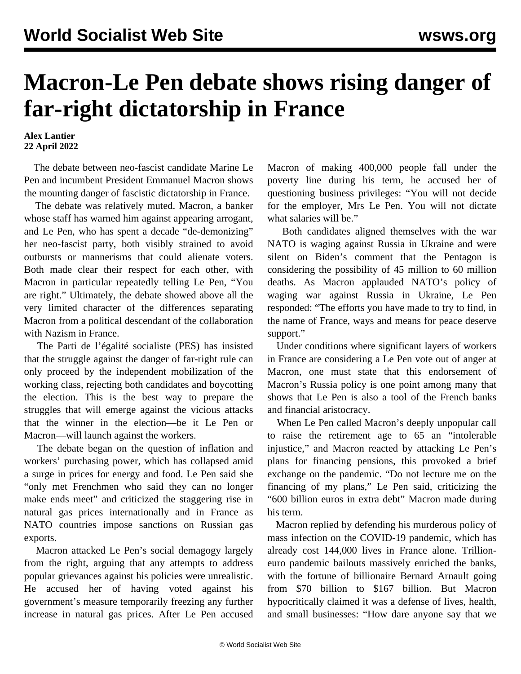## **Macron-Le Pen debate shows rising danger of far-right dictatorship in France**

## **Alex Lantier 22 April 2022**

 The debate between neo-fascist candidate Marine Le Pen and incumbent President Emmanuel Macron shows the mounting danger of fascistic dictatorship in France.

 The debate was relatively muted. Macron, a banker whose staff has warned him against appearing arrogant, and Le Pen, who has spent a decade "de-demonizing" her neo-fascist party, both visibly strained to avoid outbursts or mannerisms that could alienate voters. Both made clear their respect for each other, with Macron in particular repeatedly telling Le Pen, "You are right." Ultimately, the debate showed above all the very limited character of the differences separating Macron from a political descendant of the collaboration with Nazism in France.

 The Parti de l'égalité socialiste (PES) has insisted that the struggle against the danger of far-right rule can only proceed by the independent mobilization of the working class, rejecting both candidates and boycotting the election. This is the best way to prepare the struggles that will emerge against the vicious attacks that the winner in the election—be it Le Pen or Macron—will launch against the workers.

 The debate began on the question of inflation and workers' purchasing power, which has collapsed amid a surge in prices for energy and food. Le Pen said she "only met Frenchmen who said they can no longer make ends meet" and criticized the staggering rise in natural gas prices internationally and in France as NATO countries impose sanctions on Russian gas exports.

 Macron attacked Le Pen's social demagogy largely from the right, arguing that any attempts to address popular grievances against his policies were unrealistic. He accused her of having voted against his government's measure temporarily freezing any further increase in natural gas prices. After Le Pen accused Macron of making 400,000 people fall under the poverty line during his term, he accused her of questioning business privileges: "You will not decide for the employer, Mrs Le Pen. You will not dictate what salaries will be."

 Both candidates aligned themselves with the war NATO is waging against Russia in Ukraine and were silent on Biden's comment that the Pentagon is considering the possibility of 45 million to 60 million deaths. As Macron applauded NATO's policy of waging war against Russia in Ukraine, Le Pen responded: "The efforts you have made to try to find, in the name of France, ways and means for peace deserve support."

 Under conditions where significant layers of workers in France are considering a Le Pen vote out of anger at Macron, one must state that this endorsement of Macron's Russia policy is one point among many that shows that Le Pen is also a tool of the French banks and financial aristocracy.

 When Le Pen called Macron's deeply unpopular call to raise the retirement age to 65 an "intolerable injustice," and Macron reacted by attacking Le Pen's plans for financing pensions, this provoked a brief exchange on the pandemic. "Do not lecture me on the financing of my plans," Le Pen said, criticizing the "600 billion euros in extra debt" Macron made during his term.

 Macron replied by defending his murderous policy of mass infection on the COVID-19 pandemic, which has already cost 144,000 lives in France alone. Trillioneuro pandemic bailouts massively enriched the banks, with the fortune of billionaire Bernard Arnault going from \$70 billion to \$167 billion. But Macron hypocritically claimed it was a defense of lives, health, and small businesses: "How dare anyone say that we